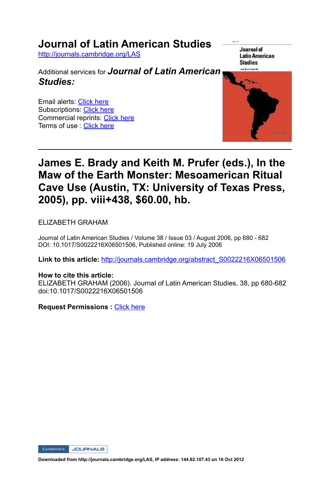## **Journal of Latin American Studies**

http://journals.cambridge.org/LAS

Additional services for *Journal of Latin American Studies:*

Email alerts: Click here Subscriptions: Click here Commercial reprints: Click here Terms of use : Click here





## **James E. Brady and Keith M. Prufer (eds.), In the Maw of the Earth Monster: Mesoamerican Ritual Cave Use (Austin, TX: University of Texas Press, 2005), pp. viii+438, \$60.00, hb.**

ELIZABETH GRAHAM

Journal of Latin American Studies / Volume 38 / Issue 03 / August 2006, pp 680 - 682 DOI: 10.1017/S0022216X06501506, Published online: 19 July 2006

**Link to this article:** http://journals.cambridge.org/abstract\_S0022216X06501506

## **How to cite this article:**

ELIZABETH GRAHAM (2006). Journal of Latin American Studies, 38, pp 680-682 doi:10.1017/S0022216X06501506

**Request Permissions :** Click here

CAMBRIDGE JOURNALS

**Downloaded from http://journals.cambridge.org/LAS, IP address: 144.82.107.43 on 16 Oct 2012**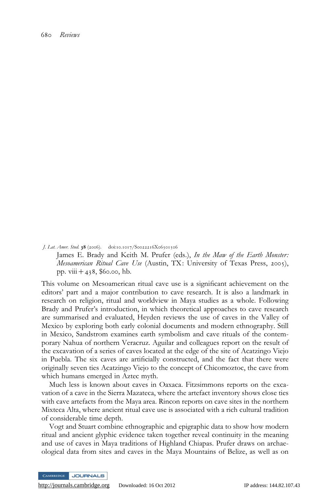680 Reviews

J. Lat. Amer. Stud. 38 (2006). doi:10.1017/S0022216X06501506

James E. Brady and Keith M. Prufer (eds.), In the Maw of the Earth Monster: Mesoamerican Ritual Cave Use (Austin, TX: University of Texas Press, 2005), pp.  $viii + 438$ , \$60.00, hb.

This volume on Mesoamerican ritual cave use is a significant achievement on the editors' part and a major contribution to cave research. It is also a landmark in research on religion, ritual and worldview in Maya studies as a whole. Following Brady and Prufer's introduction, in which theoretical approaches to cave research are summarised and evaluated, Heyden reviews the use of caves in the Valley of Mexico by exploring both early colonial documents and modern ethnography. Still in Mexico, Sandstrom examines earth symbolism and cave rituals of the contemporary Nahua of northern Veracruz. Aguilar and colleagues report on the result of the excavation of a series of caves located at the edge of the site of Acatzingo Viejo in Puebla. The six caves are artificially constructed, and the fact that there were originally seven ties Acatzingo Viejo to the concept of Chicomoztoc, the cave from which humans emerged in Aztec myth.

Much less is known about caves in Oaxaca. Fitzsimmons reports on the excavation of a cave in the Sierra Mazateca, where the artefact inventory shows close ties with cave artefacts from the Maya area. Rincon reports on cave sites in the northern Mixteca Alta, where ancient ritual cave use is associated with a rich cultural tradition of considerable time depth.

Vogt and Stuart combine ethnographic and epigraphic data to show how modern ritual and ancient glyphic evidence taken together reveal continuity in the meaning and use of caves in Maya traditions of Highland Chiapas. Prufer draws on archaeological data from sites and caves in the Maya Mountains of Belize, as well as on

**JOURNALS** 

<http://journals.cambridge.org> Downloaded: 16 Oct 2012 IP address: 144.82.107.43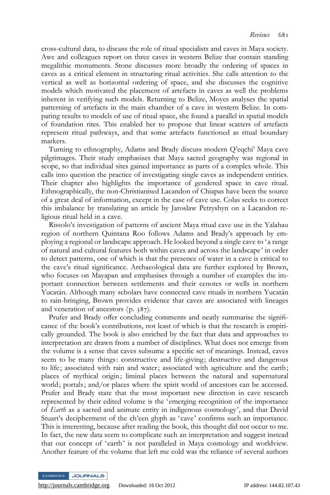cross-cultural data, to discuss the role of ritual specialists and caves in Maya society. Awe and colleagues report on three caves in western Belize that contain standing megalithic monuments. Stone discusses more broadly the ordering of spaces in caves as a critical element in structuring ritual activities. She calls attention to the vertical as well as horizontal ordering of space, and she discusses the cognitive models which motivated the placement of artefacts in caves as well the problems inherent in verifying such models. Returning to Belize, Moyes analyses the spatial patterning of artefacts in the main chamber of a cave in western Belize. In comparing results to models of use of ritual space, she found a parallel in spatial models of foundation rites. This enabled her to propose that linear scatters of artefacts represent ritual pathways, and that some artefacts functioned as ritual boundary markers.

Turning to ethnography, Adams and Brady discuss modern Q'eqchi' Maya cave pilgrimages. Their study emphasises that Maya sacred geography was regional in scope, so that individual sites gained importance as parts of a complex whole. This calls into question the practice of investigating single caves as independent entities. Their chapter also highlights the importance of gendered space in cave ritual. Ethnographically, the non-Christianised Lacandon of Chiapas have been the source of a great deal of information, except in the case of cave use. Colas seeks to correct this imbalance by translating an article by Jaroslaw Petryshyn on a Lacandon religious ritual held in a cave.

Rissolo's investigation of patterns of ancient Maya ritual cave use in the Yalahau region of northern Quintana Roo follows Adams and Brady's approach by employing a regional or landscape approach. He looked beyond a single cave to 'a range of natural and cultural features both within caves and across the landscape' in order to detect patterns, one of which is that the presence of water in a cave is critical to the cave's ritual significance. Archaeological data are further explored by Brown, who focuses on Mayapan and emphasises through a number of examples the important connection between settlements and their cenotes or wells in northern Yucatán. Although many scholars have connected cave rituals in northern Yucatán to rain-bringing, Brown provides evidence that caves are associated with lineages and veneration of ancestors (p. 387).

Prufer and Brady offer concluding comments and neatly summarise the significance of the book's contributions, not least of which is that the research is empirically grounded. The book is also enriched by the fact that data and approaches to interpretation are drawn from a number of disciplines. What does not emerge from the volume is a sense that caves subsume a specific set of meanings. Instead, caves seem to be many things: constructive and life-giving; destructive and dangerous to life; associated with rain and water; associated with agriculture and the earth; places of mythical origin; liminal places between the natural and supernatural world; portals; and/or places where the spirit world of ancestors can be accessed. Prufer and Brady state that the most important new direction in cave research represented by their edited volume is the 'emerging recognition of the importance of Earth as a sacred and animate entity in indigenous cosmology', and that David Stuart's decipherment of the ch'een glyph as 'cave' confirms such an importance. This is interesting, because after reading the book, this thought did not occur to me. In fact, the new data seem to complicate such an interpretation and suggest instead that our concept of 'earth ' is not paralleled in Maya cosmology and worldview. Another feature of the volume that left me cold was the reliance of several authors